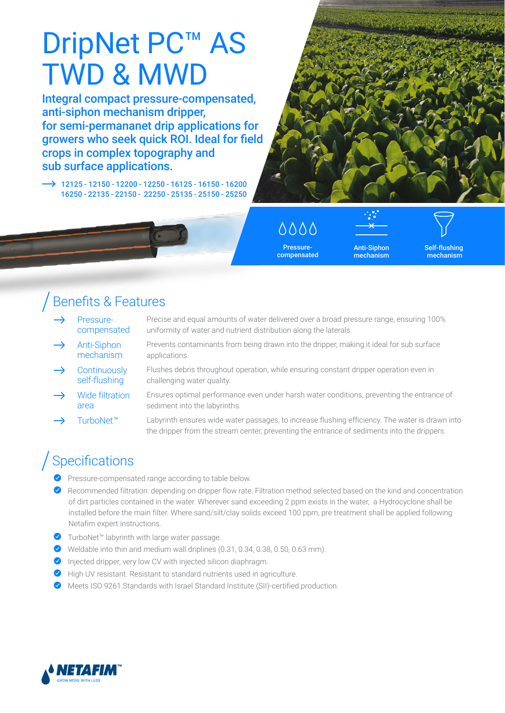# DripNet PC<sup>™</sup> AS TWD & MWD

Integral compact pressure-compensated, anti-siphon mechanism dripper, for semi-permananet drip applications for growers who seek quick ROI. Ideal for field crops in complex topography and sub surface applications.

 $\rightarrow$  12125 - 12150 - 12200 - 12250 - 16125 - 16150 - 16200 16250 - 22135 - 22150 - 22250 - 25135 - 25150 - 25250



Pressurecompensated

Anti-Siphon mechanism Self-flushing mechanism

### Benefits & Features

- Pressurecompensated Precise and equal amounts of water delivered over a broad pressure range, ensuring 100% uniformity of water and nutrient distribution along the laterals.
	- Anti-Siphon mechanism Prevents contaminants from being drawn into the dripper, making it ideal for sub surface applications.
- **Continuously** self-flushing Flushes debris throughout operation, while ensuring constant dripper operation even in challenging water quality.
- Wide filtration area Ensures optimal performance even under harsh water conditions, preventing the entrance of sediment into the labyrinths.
	- TurboNet™ Labyrinth ensures wide water passages, to increase flushing efficiency. The water is drawn into the dripper from the stream center, preventing the entrance of sediments into the drippers.

## Specifications

- Pressure-compensated range according to table below.
- Recommended filtration: depending on dripper flow rate. Filtration method selected based on the kind and concentration of dirt particles contained in the water. Wherever sand exceeding 2 ppm exists in the water, a Hydrocyclone shall be installed before the main filter. Where sand/silt/clay solids exceed 100 ppm, pre treatment shall be applied following Netafim expert instructions.
- ◆ TurboNet<sup>™</sup> labyrinth with large water passage.
- Weldable into thin and medium wall driplines (0.31, 0.34, 0.38, 0.50, 0.63 mm).
- $\bullet$  Injected dripper, very low CV with injected silicon diaphragm.
- High UV resistant. Resistant to standard nutrients used in agriculture.
- Meets ISO 9261 Standards with Israel Standard Institute (SII)-certified production.

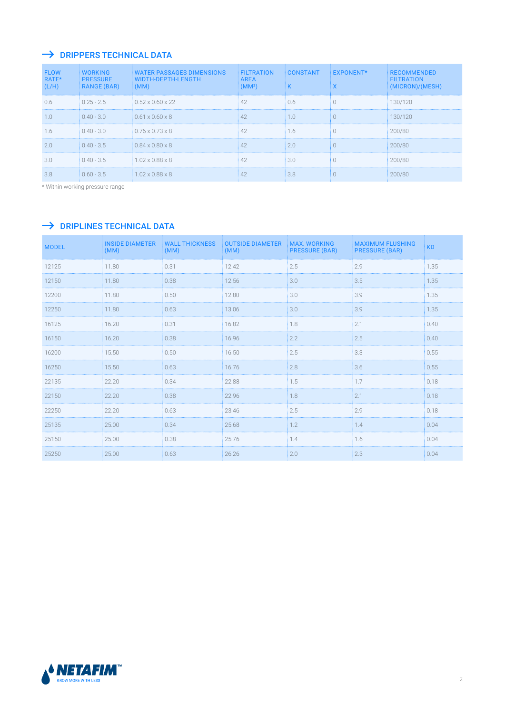#### $\rightarrow$  DRIPPERS TECHNICAL DATA

| <b>FLOW</b><br>RATE*<br>(L/H) | <b>WORKING</b><br><b>PRESSURE</b><br>RANGE (BAR) | <b>WATER PASSAGES DIMENSIONS</b><br>WIDTH-DEPTH-LENGTH<br>(MM) | <b>FILTRATION</b><br><b>AREA</b><br>(MM <sup>2</sup> ) | CONSTANT | <b>EXPONENT*</b> | <b>RECOMMENDED</b><br><b>FILTRATION</b><br>(MICRON)/(MESH) |
|-------------------------------|--------------------------------------------------|----------------------------------------------------------------|--------------------------------------------------------|----------|------------------|------------------------------------------------------------|
| 0.6                           | $0.25 - 2.5$                                     | $0.52 \times 0.60 \times 22$                                   | 42                                                     | 06       |                  | 130/120                                                    |
| 1.0                           | $0.40 - 3.0$                                     | $0.61 \times 0.60 \times 8$                                    |                                                        | 1.0      |                  | 130/120                                                    |
| 1.6                           | $0.40 - 3.0$                                     | $10.76 \times 0.73 \times 8$                                   |                                                        | l.6      |                  | 200/80                                                     |
| 2.0                           | $0.40 - 3.5$                                     | $0.84 \times 0.80 \times 8$                                    |                                                        | 2.0      |                  | 200/80                                                     |
| 3.0                           | $0.40 - 3.5$                                     | $1.02 \times 0.88 \times 8$                                    |                                                        | 30       |                  | 200/80                                                     |
| 3.8                           | $0.60 - 3.5$                                     | $1.02 \times 0.88 \times 8$                                    |                                                        | 38       |                  | 200/80                                                     |

\* Within working pressure range

#### $\rightarrow$  DRIPLINES TECHNICAL DATA

| <b>MODEL</b> | <b>INSIDE DIAMETER</b><br>(MM) | <b>WALL THICKNESS</b><br>(MM) | <b>OUTSIDE DIAMETER</b><br>(MM) | <b>MAX. WORKING</b><br><b>PRESSURE (BAR)</b> | <b>MAXIMUM FLUSHING</b><br><b>PRESSURE (BAR)</b> | <b>KD</b> |
|--------------|--------------------------------|-------------------------------|---------------------------------|----------------------------------------------|--------------------------------------------------|-----------|
| 12125        | 11.80                          | 0.31                          | 12.42                           | 2.5                                          | 2.9                                              | 1.35      |
| 12150        | 11.80                          | 0.38                          | 12.56                           | 3.0                                          | 3.5                                              | 1.35      |
| 12200        | 11.80                          | 0.50                          | 12.80                           | 3.0                                          | 3.9                                              | 1.35      |
| 12250        | 11.80                          | 0.63                          | 13.06                           | 3.0                                          | 3.9                                              | 1.35      |
| 16125        | 16.20                          | 0.31                          | 16.82                           | 1.8                                          | 2.1                                              | 0.40      |
| 16150        | 16.20                          | 0.38                          | 16.96                           | 2.2                                          | 2.5                                              | 0.40      |
| 16200        | 15.50                          | 0.50                          | 16.50                           | 2.5                                          | 3.3                                              | 0.55      |
| 16250        | 15.50                          | 0.63                          | 16.76                           | 2.8                                          | 3.6                                              | 0.55      |
| 22135        | 22.20                          | 0.34                          | 22.88                           | 1.5                                          | 1.7                                              | 0.18      |
| 22150        | 22.20                          | 0.38                          | 22.96                           | 1.8                                          | 2.1                                              | 0.18      |
| 22250        | 22.20                          | 0.63                          | 23.46                           | 2.5                                          | 2.9                                              | 0.18      |
| 25135        | 25.00                          | 0.34                          | 25.68                           | 1.2                                          | 1.4                                              | 0.04      |
| 25150        | 25.00                          | 0.38                          | 25.76                           | 1.4                                          | 1.6                                              | 0.04      |
| 25250        | 25.00                          | 0.63                          | 26.26                           | 2.0                                          | 2.3                                              | 0.04      |